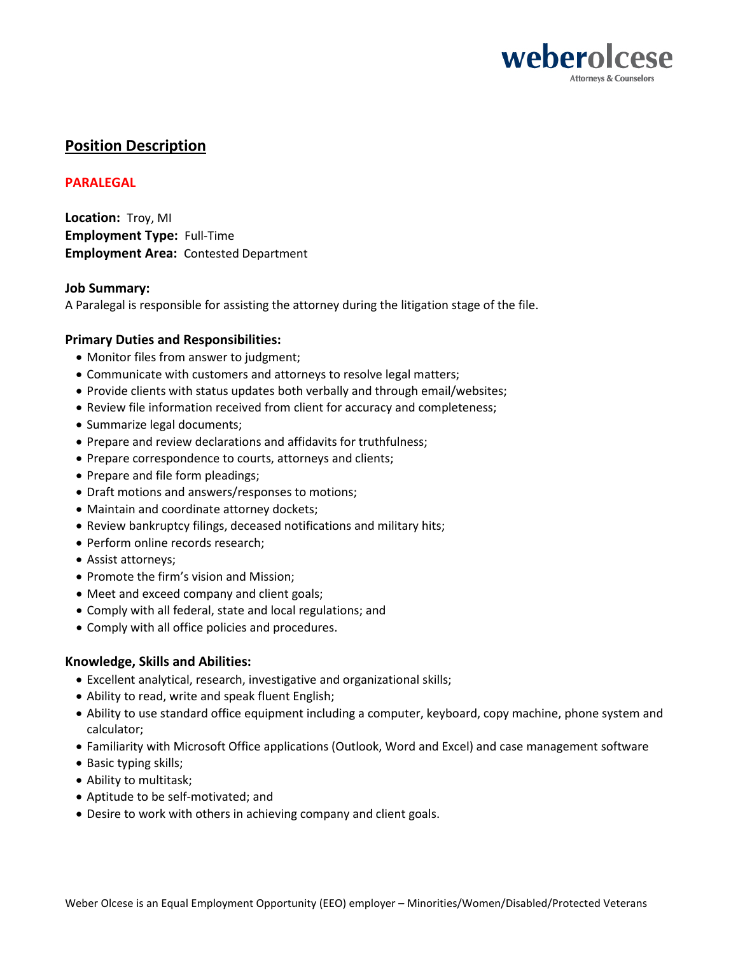

# **Position Description**

# **PARALEGAL**

**Location:** Troy, MI **Employment Type:** Full-Time **Employment Area:** Contested Department

## **Job Summary:**

A Paralegal is responsible for assisting the attorney during the litigation stage of the file.

## **Primary Duties and Responsibilities:**

- Monitor files from answer to judgment;
- Communicate with customers and attorneys to resolve legal matters;
- Provide clients with status updates both verbally and through email/websites;
- Review file information received from client for accuracy and completeness;
- Summarize legal documents;
- Prepare and review declarations and affidavits for truthfulness;
- Prepare correspondence to courts, attorneys and clients;
- Prepare and file form pleadings;
- Draft motions and answers/responses to motions;
- Maintain and coordinate attorney dockets;
- Review bankruptcy filings, deceased notifications and military hits;
- Perform online records research;
- Assist attorneys;
- Promote the firm's vision and Mission;
- Meet and exceed company and client goals;
- Comply with all federal, state and local regulations; and
- Comply with all office policies and procedures.

## **Knowledge, Skills and Abilities:**

- Excellent analytical, research, investigative and organizational skills;
- Ability to read, write and speak fluent English;
- Ability to use standard office equipment including a computer, keyboard, copy machine, phone system and calculator;
- Familiarity with Microsoft Office applications (Outlook, Word and Excel) and case management software
- Basic typing skills;
- Ability to multitask;
- Aptitude to be self-motivated; and
- Desire to work with others in achieving company and client goals.